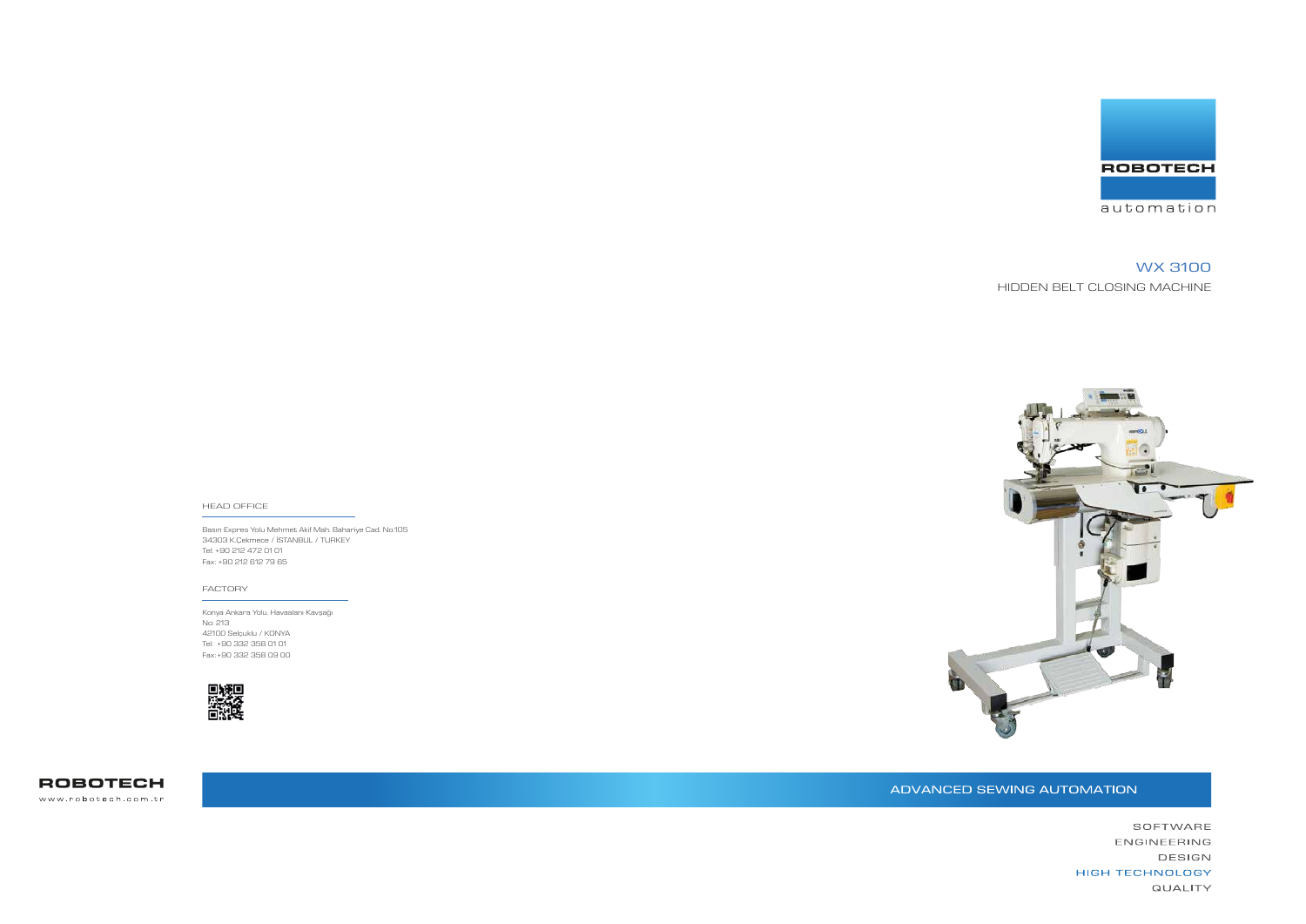Basın Expres Yolu Mehmet Akif Mah. Bahariye Cad. No:105 34303 K.Çekmece / İSTANBUL / TURKEY Tel: +90 212 472 01 01 Fax: +90 212 612 79 65

#### HEAD OFFICE

Konya Ankara Yolu. Havaalanı Kavşağı No: 213 42100 Selçuklu / KONYA Tel: +90 332 358 01 01 Fax: +90 332 358 09 00





**ROBOTECH** www.robotech.com.tr



### FACTORY

# WX 3100 HIDDEN BELT CLOSING MACHINE



## ADVANCED SEWING AUTOMATION

SOFTWARE ENGINEERING DESIGN **HIGH TECHNOLOGY QUALITY**